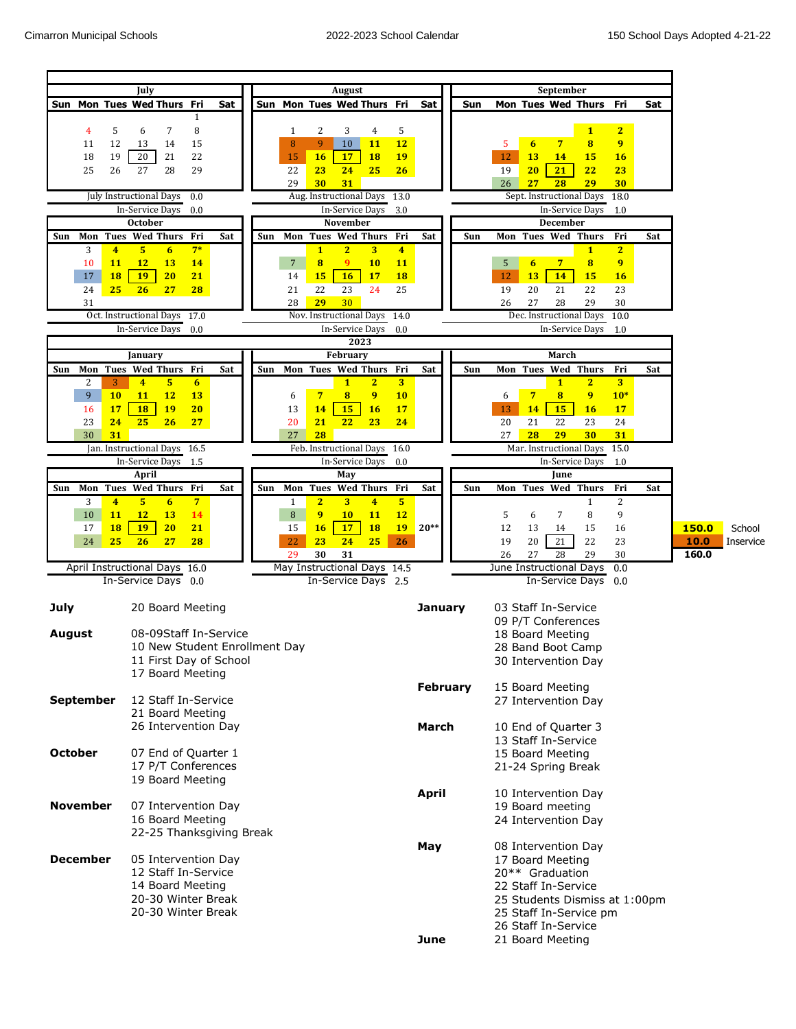